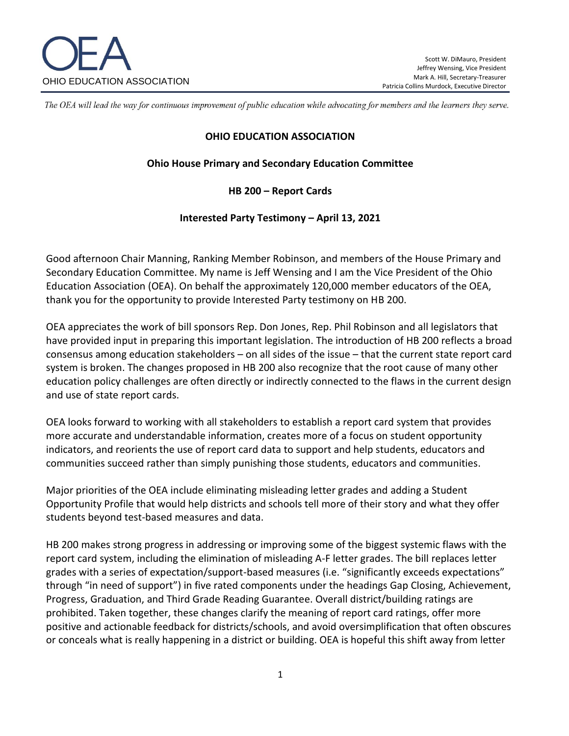

The OEA will lead the way for continuous improvement of public education while advocating for members and the learners they serve.

#### **OHIO EDUCATION ASSOCIATION**

### **Ohio House Primary and Secondary Education Committee**

## **HB 200 – Report Cards**

#### **Interested Party Testimony – April 13, 2021**

Good afternoon Chair Manning, Ranking Member Robinson, and members of the House Primary and Secondary Education Committee. My name is Jeff Wensing and I am the Vice President of the Ohio Education Association (OEA). On behalf the approximately 120,000 member educators of the OEA, thank you for the opportunity to provide Interested Party testimony on HB 200.

OEA appreciates the work of bill sponsors Rep. Don Jones, Rep. Phil Robinson and all legislators that have provided input in preparing this important legislation. The introduction of HB 200 reflects a broad consensus among education stakeholders – on all sides of the issue – that the current state report card system is broken. The changes proposed in HB 200 also recognize that the root cause of many other education policy challenges are often directly or indirectly connected to the flaws in the current design and use of state report cards.

OEA looks forward to working with all stakeholders to establish a report card system that provides more accurate and understandable information, creates more of a focus on student opportunity indicators, and reorients the use of report card data to support and help students, educators and communities succeed rather than simply punishing those students, educators and communities.

Major priorities of the OEA include eliminating misleading letter grades and adding a Student Opportunity Profile that would help districts and schools tell more of their story and what they offer students beyond test-based measures and data.

HB 200 makes strong progress in addressing or improving some of the biggest systemic flaws with the report card system, including the elimination of misleading A-F letter grades. The bill replaces letter grades with a series of expectation/support-based measures (i.e. "significantly exceeds expectations" through "in need of support") in five rated components under the headings Gap Closing, Achievement, Progress, Graduation, and Third Grade Reading Guarantee. Overall district/building ratings are prohibited. Taken together, these changes clarify the meaning of report card ratings, offer more positive and actionable feedback for districts/schools, and avoid oversimplification that often obscures or conceals what is really happening in a district or building. OEA is hopeful this shift away from letter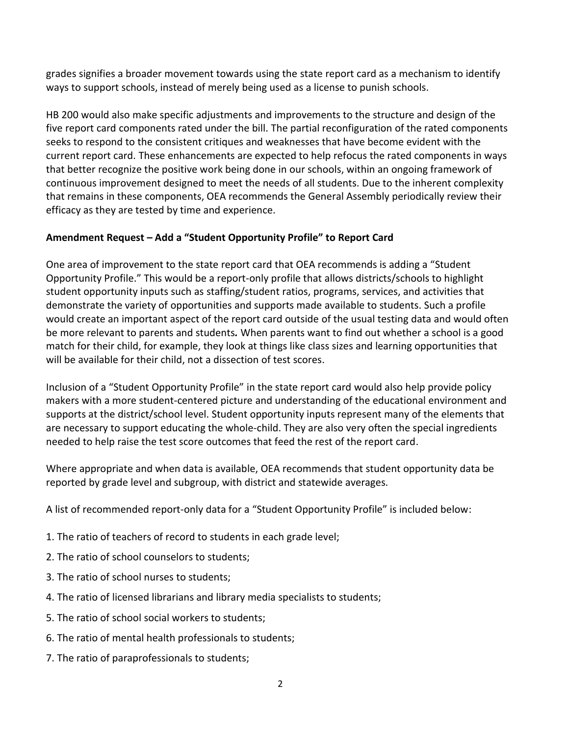grades signifies a broader movement towards using the state report card as a mechanism to identify ways to support schools, instead of merely being used as a license to punish schools.

HB 200 would also make specific adjustments and improvements to the structure and design of the five report card components rated under the bill. The partial reconfiguration of the rated components seeks to respond to the consistent critiques and weaknesses that have become evident with the current report card. These enhancements are expected to help refocus the rated components in ways that better recognize the positive work being done in our schools, within an ongoing framework of continuous improvement designed to meet the needs of all students. Due to the inherent complexity that remains in these components, OEA recommends the General Assembly periodically review their efficacy as they are tested by time and experience.

# **Amendment Request – Add a "Student Opportunity Profile" to Report Card**

One area of improvement to the state report card that OEA recommends is adding a "Student Opportunity Profile." This would be a report-only profile that allows districts/schools to highlight student opportunity inputs such as staffing/student ratios, programs, services, and activities that demonstrate the variety of opportunities and supports made available to students. Such a profile would create an important aspect of the report card outside of the usual testing data and would often be more relevant to parents and students*.* When parents want to find out whether a school is a good match for their child, for example, they look at things like class sizes and learning opportunities that will be available for their child, not a dissection of test scores.

Inclusion of a "Student Opportunity Profile" in the state report card would also help provide policy makers with a more student-centered picture and understanding of the educational environment and supports at the district/school level. Student opportunity inputs represent many of the elements that are necessary to support educating the whole-child. They are also very often the special ingredients needed to help raise the test score outcomes that feed the rest of the report card.

Where appropriate and when data is available, OEA recommends that student opportunity data be reported by grade level and subgroup, with district and statewide averages.

A list of recommended report-only data for a "Student Opportunity Profile" is included below:

- 1. The ratio of teachers of record to students in each grade level;
- 2. The ratio of school counselors to students;
- 3. The ratio of school nurses to students;
- 4. The ratio of licensed librarians and library media specialists to students;
- 5. The ratio of school social workers to students;
- 6. The ratio of mental health professionals to students;
- 7. The ratio of paraprofessionals to students;